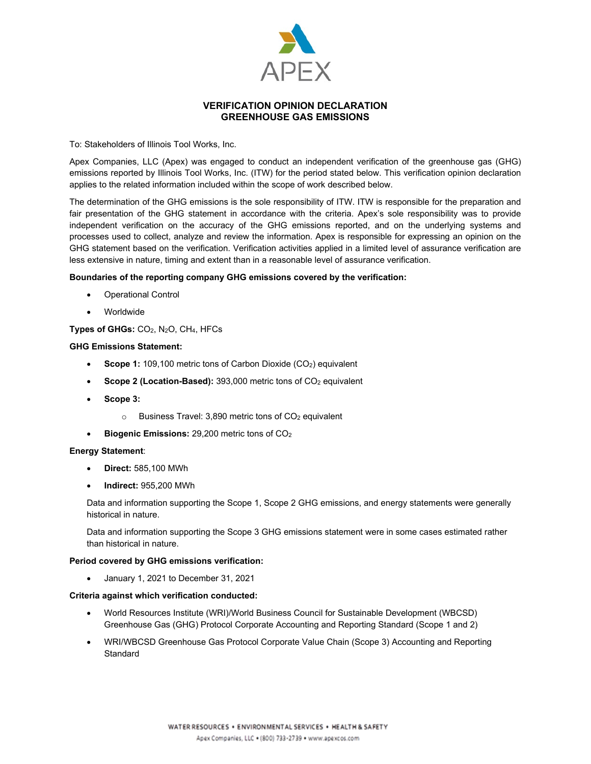

# **VERIFICATION OPINION DECLARATION GREENHOUSE GAS EMISSIONS**

To: Stakeholders of Illinois Tool Works, Inc.

Apex Companies, LLC (Apex) was engaged to conduct an independent verification of the greenhouse gas (GHG) emissions reported by Illinois Tool Works, Inc. (ITW) for the period stated below. This verification opinion declaration applies to the related information included within the scope of work described below.

The determination of the GHG emissions is the sole responsibility of ITW. ITW is responsible for the preparation and fair presentation of the GHG statement in accordance with the criteria. Apex's sole responsibility was to provide independent verification on the accuracy of the GHG emissions reported, and on the underlying systems and processes used to collect, analyze and review the information. Apex is responsible for expressing an opinion on the GHG statement based on the verification. Verification activities applied in a limited level of assurance verification are less extensive in nature, timing and extent than in a reasonable level of assurance verification.

## **Boundaries of the reporting company GHG emissions covered by the verification:**

- Operational Control
- Worldwide

## **Types of GHGs:** CO2, N2O, CH4, HFCs

#### **GHG Emissions Statement:**

- **Scope 1:** 109,100 metric tons of Carbon Dioxide (CO<sub>2</sub>) equivalent
- Scope 2 (Location-Based): 393,000 metric tons of CO<sub>2</sub> equivalent
- **Scope 3:** 
	- $\circ$  Business Travel: 3,890 metric tons of CO<sub>2</sub> equivalent
- **Biogenic Emissions:** 29,200 metric tons of CO2

#### **Energy Statement**:

- **Direct:** 585,100 MWh
- **Indirect:** 955,200 MWh

Data and information supporting the Scope 1, Scope 2 GHG emissions, and energy statements were generally historical in nature.

Data and information supporting the Scope 3 GHG emissions statement were in some cases estimated rather than historical in nature.

#### **Period covered by GHG emissions verification:**

• January 1, 2021 to December 31, 2021

#### **Criteria against which verification conducted:**

- World Resources Institute (WRI)/World Business Council for Sustainable Development (WBCSD) Greenhouse Gas (GHG) Protocol Corporate Accounting and Reporting Standard (Scope 1 and 2)
- WRI/WBCSD Greenhouse Gas Protocol Corporate Value Chain (Scope 3) Accounting and Reporting **Standard**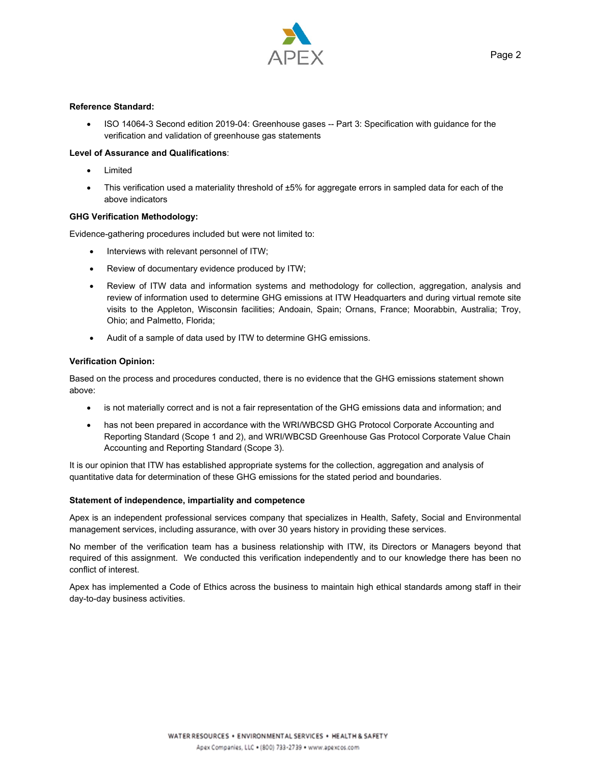

### **Reference Standard:**

• ISO 14064-3 Second edition 2019-04: Greenhouse gases -- Part 3: Specification with guidance for the verification and validation of greenhouse gas statements

## **Level of Assurance and Qualifications**:

- Limited
- This verification used a materiality threshold of ±5% for aggregate errors in sampled data for each of the above indicators

## **GHG Verification Methodology:**

Evidence-gathering procedures included but were not limited to:

- Interviews with relevant personnel of ITW;
- Review of documentary evidence produced by ITW;
- Review of ITW data and information systems and methodology for collection, aggregation, analysis and review of information used to determine GHG emissions at ITW Headquarters and during virtual remote site visits to the Appleton, Wisconsin facilities; Andoain, Spain; Ornans, France; Moorabbin, Australia; Troy, Ohio; and Palmetto, Florida;
- Audit of a sample of data used by ITW to determine GHG emissions.

## **Verification Opinion:**

Based on the process and procedures conducted, there is no evidence that the GHG emissions statement shown above:

- is not materially correct and is not a fair representation of the GHG emissions data and information; and
- has not been prepared in accordance with the WRI/WBCSD GHG Protocol Corporate Accounting and Reporting Standard (Scope 1 and 2), and WRI/WBCSD Greenhouse Gas Protocol Corporate Value Chain Accounting and Reporting Standard (Scope 3).

It is our opinion that ITW has established appropriate systems for the collection, aggregation and analysis of quantitative data for determination of these GHG emissions for the stated period and boundaries.

#### **Statement of independence, impartiality and competence**

Apex is an independent professional services company that specializes in Health, Safety, Social and Environmental management services, including assurance, with over 30 years history in providing these services.

No member of the verification team has a business relationship with ITW, its Directors or Managers beyond that required of this assignment. We conducted this verification independently and to our knowledge there has been no conflict of interest.

Apex has implemented a Code of Ethics across the business to maintain high ethical standards among staff in their day-to-day business activities.